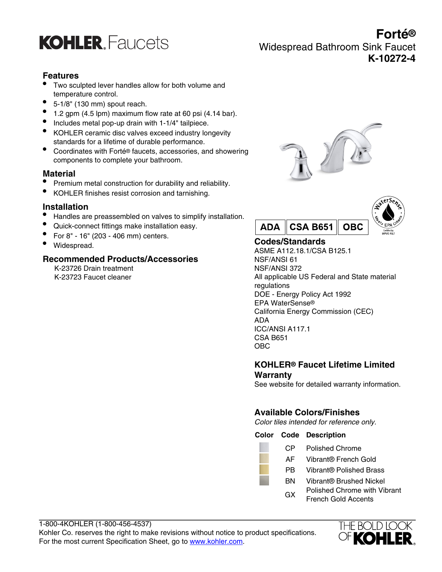

**Forté®** Widespread Bathroom Sink Faucet **K-10272-4**

# **Features**

- Two sculpted lever handles allow for both volume and temperature control.
- 5-1/8" (130 mm) spout reach.
- $\bullet$  1.2 gpm (4.5 lpm) maximum flow rate at 60 psi (4.14 bar).
- Includes metal pop-up drain with 1-1/4" tailpiece.
- KOHLER ceramic disc valves exceed industry longevity standards for a lifetime of durable performance.
- Coordinates with Forté® faucets, accessories, and showering components to complete your bathroom.

### **Material**

- Premium metal construction for durability and reliability.
- KOHLER finishes resist corrosion and tarnishing.

# **Installation**

- Handles are preassembled on valves to simplify installation.
- Quick-connect fittings make installation easy.
- For 8" 16" (203 406 mm) centers.
- Widespread.

### **Recommended Products/Accessories**

K-23726 Drain treatment K-23723 Faucet cleaner





# **Codes/Standards**

ASME A112.18.1/CSA B125.1 NSF/ANSI 61 NSF/ANSI 372 All applicable US Federal and State material regulations DOE - Energy Policy Act 1992 EPA WaterSense® California Energy Commission (CEC) ADA ICC/ANSI A117.1 CSA B651 OBC

# **KOHLER® Faucet Lifetime Limited Warranty**

See website for detailed warranty information.

# **Available Colors/Finishes**

Color tiles intended for reference only.

#### **Color Code Description**

| CP | <b>Polished Chrome</b> |            |  |
|----|------------------------|------------|--|
|    | .                      | $\sim$ $-$ |  |

- AF Vibrant® French Gold
- PB Vibrant® Polished Brass
	- BN Vibrant® Brushed Nickel
	- GX Polished Chrome with Vibrant French Gold Accents